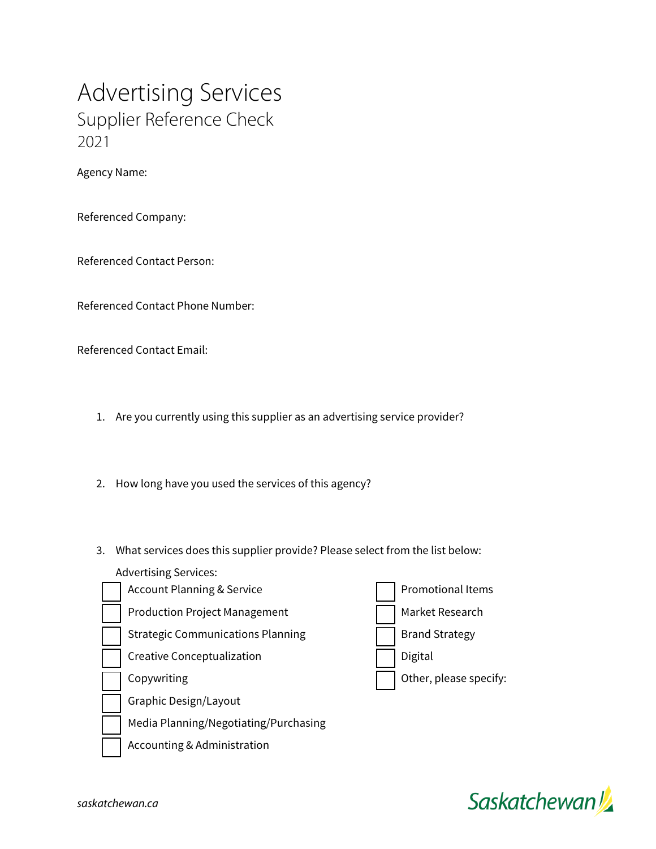Advertising Services Supplier Reference Check 2021

Agency Name:

Referenced Company:

Referenced Contact Person:

Referenced Contact Phone Number:

Referenced Contact Email:

- 1. Are you currently using this supplier as an advertising service provider?
- 2. How long have you used the services of this agency?
- 3. What services does this supplier provide? Please select from the list below:

Advertising Services:

| <b>Account Planning &amp; Service</b>    | <b>Promotional Items</b> |
|------------------------------------------|--------------------------|
| <b>Production Project Management</b>     | Market Research          |
| <b>Strategic Communications Planning</b> | <b>Brand Strategy</b>    |
| Creative Conceptualization               | Digital                  |
| Copywriting                              | Other, please specify:   |
| Graphic Design/Layout                    |                          |
| Media Planning/Negotiating/Purchasing    |                          |
| Accounting & Administration              |                          |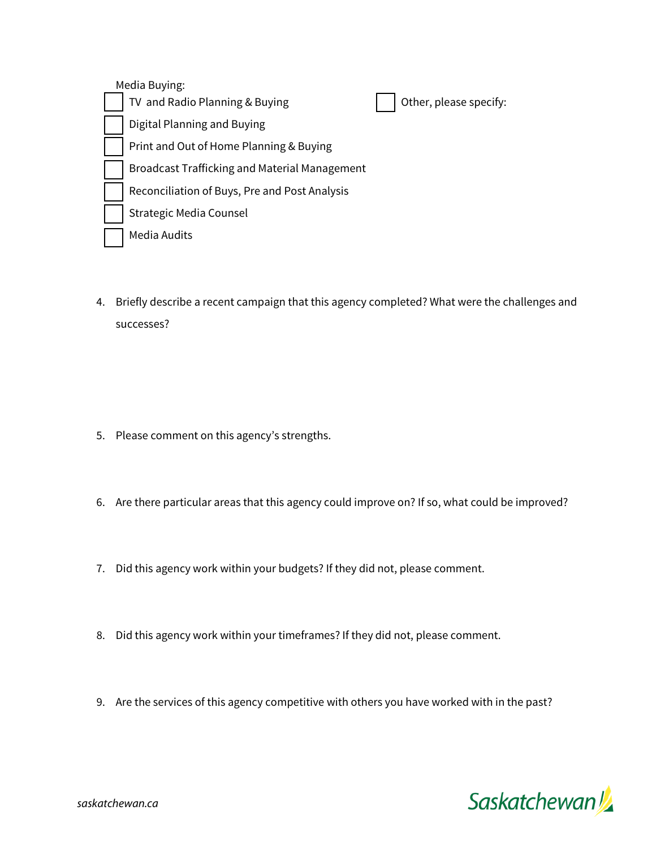Media Buying: TV and Radio Planning & Buying  $\Box$  Other, please specify: Digital Planning and Buying Print and Out of Home Planning & Buying Broadcast Trafficking and Material Management Reconciliation of Buys, Pre and Post Analysis Strategic Media Counsel Media Audits

4. Briefly describe a recent campaign that this agency completed? What were the challenges and successes?

- 5. Please comment on this agency's strengths.
- 6. Are there particular areas that this agency could improve on? If so, what could be improved?
- 7. Did this agency work within your budgets? If they did not, please comment.
- 8. Did this agency work within your timeframes? If they did not, please comment.
- 9. Are the services of this agency competitive with others you have worked with in the past?